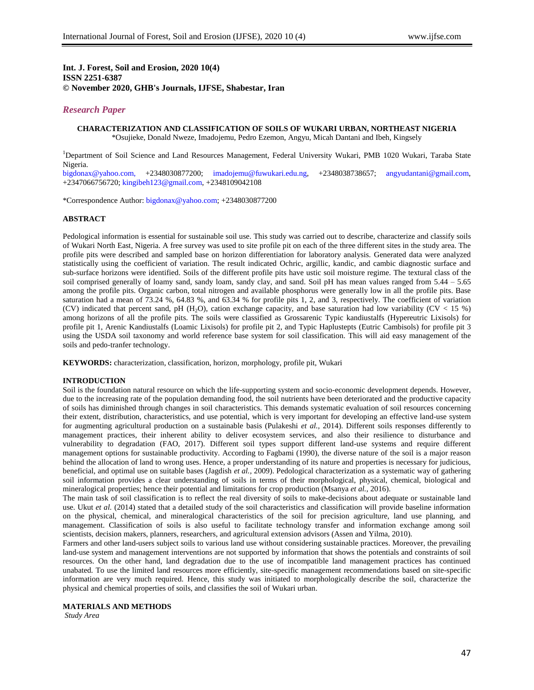# **Int. J. Forest, Soil and Erosion, 2020 10(4) ISSN 2251-6387 © November 2020, GHB's Journals, IJFSE, Shabestar, Iran**

# *Research Paper*

# **CHARACTERIZATION AND CLASSIFICATION OF SOILS OF WUKARI URBAN, NORTHEAST NIGERIA** \*Osujieke, Donald Nweze, Imadojemu, Pedro Ezemon, Angyu, Micah Dantani and Ibeh, Kingsely

<sup>1</sup>Department of Soil Science and Land Resources Management, Federal University Wukari, PMB 1020 Wukari, Taraba State Nigeria.

[bigdonax@yahoo.com,](mailto:bigdonax@yahoo.com) +2348030877200; [imadojemu@fuwukari.edu.ng,](mailto:imadojemu@fuwukari.edu.ng) +2348038738657; [angyudantani@gmail.com,](mailto:angyudantani@gmail.com) +2347066756720[; kingibeh123@gmail.com,](mailto:kingibeh123@gmail.com) +2348109042108

\*Correspondence Author[: bigdonax@yahoo.com;](mailto:bigdonax@yahoo.com) +2348030877200

## **ABSTRACT**

Pedological information is essential for sustainable soil use. This study was carried out to describe, characterize and classify soils of Wukari North East, Nigeria. A free survey was used to site profile pit on each of the three different sites in the study area. The profile pits were described and sampled base on horizon differentiation for laboratory analysis. Generated data were analyzed statistically using the coefficient of variation. The result indicated Ochric, argillic, kandic, and cambic diagnostic surface and sub-surface horizons were identified. Soils of the different profile pits have ustic soil moisture regime. The textural class of the soil comprised generally of loamy sand, sandy loam, sandy clay, and sand. Soil pH has mean values ranged from 5.44 – 5.65 among the profile pits. Organic carbon, total nitrogen and available phosphorus were generally low in all the profile pits. Base saturation had a mean of 73.24 %, 64.83 %, and 63.34 % for profile pits 1, 2, and 3, respectively. The coefficient of variation (CV) indicated that percent sand, pH (H<sub>2</sub>O), cation exchange capacity, and base saturation had low variability (CV < 15 %) among horizons of all the profile pits. The soils were classified as Grossarenic Typic kandiustalfs (Hypereutric Lixisols) for profile pit 1, Arenic Kandiustalfs (Loamic Lixisols) for profile pit 2, and Typic Haplustepts (Eutric Cambisols) for profile pit 3 using the USDA soil taxonomy and world reference base system for soil classification. This will aid easy management of the soils and pedo-tranfer technology.

**KEYWORDS:** characterization, classification, horizon, morphology, profile pit, Wukari

### **INTRODUCTION**

Soil is the foundation natural resource on which the life-supporting system and socio-economic development depends. However, due to the increasing rate of the population demanding food, the soil nutrients have been deteriorated and the productive capacity of soils has diminished through changes in soil characteristics. This demands systematic evaluation of soil resources concerning their extent, distribution, characteristics, and use potential, which is very important for developing an effective land-use system for augmenting agricultural production on a sustainable basis (Pulakeshi *et al.,* 2014). Different soils responses differently to management practices, their inherent ability to deliver ecosystem services, and also their resilience to disturbance and vulnerability to degradation (FAO, 2017). Different soil types support different land-use systems and require different management options for sustainable productivity. According to Fagbami (1990), the diverse nature of the soil is a major reason behind the allocation of land to wrong uses. Hence, a proper understanding of its nature and properties is necessary for judicious, beneficial, and optimal use on suitable bases (Jagdish *et al.,* 2009). Pedological characterization as a systematic way of gathering soil information provides a clear understanding of soils in terms of their morphological, physical, chemical, biological and mineralogical properties; hence their potential and limitations for crop production (Msanya *et al.,* 2016).

The main task of soil classification is to reflect the real diversity of soils to make-decisions about adequate or sustainable land use. Ukut *et al.* (2014) stated that a detailed study of the soil characteristics and classification will provide baseline information on the physical, chemical, and mineralogical characteristics of the soil for precision agriculture, land use planning, and management. Classification of soils is also useful to facilitate technology transfer and information exchange among soil scientists, decision makers, planners, researchers, and agricultural extension advisors (Assen and Yilma, 2010).

Farmers and other land-users subject soils to various land use without considering sustainable practices. Moreover, the prevailing land-use system and management interventions are not supported by information that shows the potentials and constraints of soil resources. On the other hand, land degradation due to the use of incompatible land management practices has continued unabated. To use the limited land resources more efficiently, site-specific management recommendations based on site-specific information are very much required. Hence, this study was initiated to morphologically describe the soil, characterize the physical and chemical properties of soils, and classifies the soil of Wukari urban.

### **MATERIALS AND METHODS**

*Study Area*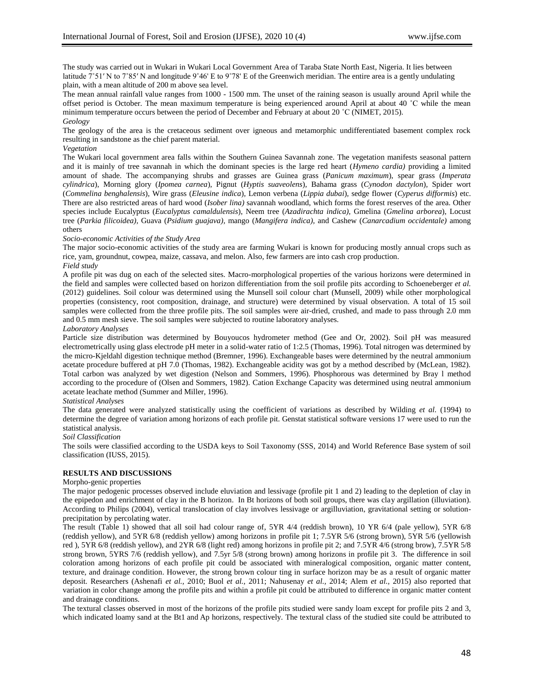The study was carried out in Wukari in Wukari Local Government Area of Taraba State North East, Nigeria. It lies between latitude 7°51′ N to 7°85′ N and longitude 9°46′ E to 9°78′ E of the Greenwich meridian. The entire area is a gently undulating plain, with a mean altitude of 200 m above sea level.

The mean annual rainfall value ranges from 1000 - 1500 mm. The unset of the raining season is usually around April while the offset period is October. The mean maximum temperature is being experienced around April at about 40 ˚C while the mean minimum temperature occurs between the period of December and February at about 20 ˚C (NIMET, 2015). *Geology*

The geology of the area is the cretaceous sediment over igneous and metamorphic undifferentiated basement complex rock resulting in sandstone as the chief parent material.

#### *Vegetation*

The Wukari local government area falls within the Southern Guinea Savannah zone. The vegetation manifests seasonal pattern and it is mainly of tree savannah in which the dominant species is the large red heart (*Hymeno cardia)* providing a limited amount of shade. The accompanying shrubs and grasses are Guinea grass (*Panicum maximum*), spear grass (*Imperata cylindrica*), Morning glory (*Ipomea carnea*)*,* Pignut (*Hyptis suaveolens*)*,* Bahama grass (*Cynodon dactylon*)*,* Spider wort (*Commelina benghalensis*)*,* Wire grass (*Eleusine indica*)*,* Lemon verbena (*Lippia dubai*)*,* sedge flower (*Cyperus difformis*) etc. There are also restricted areas of hard wood (*Isober lina)* savannah woodland, which forms the forest reserves of the area. Other species include Eucalyptus (*Eucalyptus camaldulensis*), Neem tree (*Azadirachta indica)*, Gmelina (*Gmelina arborea*), Locust tree (*Parkia filicoidea),* Guava (*Psidium guajava),* mango (*Mangifera indica),* and Cashew (*Canarcadium occidentale)* among others

#### *Socio-economic Activities of the Study Area*

The major socio-economic activities of the study area are farming Wukari is known for producing mostly annual crops such as rice, yam, groundnut, cowpea, maize, cassava, and melon. Also, few farmers are into cash crop production. *Field study*

A profile pit was dug on each of the selected sites. Macro-morphological properties of the various horizons were determined in the field and samples were collected based on horizon differentiation from the soil profile pits according to Schoeneberger *et al.* (2012) guidelines. Soil colour was determined using the Munsell soil colour chart (Munsell, 2009) while other morphological properties (consistency, root composition, drainage, and structure) were determined by visual observation. A total of 15 soil samples were collected from the three profile pits. The soil samples were air-dried, crushed, and made to pass through 2.0 mm and 0.5 mm mesh sieve. The soil samples were subjected to routine laboratory analyses.

#### *Laboratory Analyses*

Particle size distribution was determined by Bouyoucos hydrometer method (Gee and Or, 2002). Soil pH was measured electrometrically using glass electrode pH meter in a solid-water ratio of 1:2.5 (Thomas, 1996). Total nitrogen was determined by the micro-Kjeldahl digestion technique method (Bremner, 1996). Exchangeable bases were determined by the neutral ammonium acetate procedure buffered at pH 7.0 (Thomas, 1982). Exchangeable acidity was got by a method described by (McLean, 1982). Total carbon was analyzed by wet digestion (Nelson and Sommers, 1996). Phosphorous was determined by Bray l method according to the procedure of (Olsen and Sommers, 1982). Cation Exchange Capacity was determined using neutral ammonium acetate leachate method (Summer and Miller, 1996).

## *Statistical Analyses*

The data generated were analyzed statistically using the coefficient of variations as described by Wilding *et al.* (1994) to determine the degree of variation among horizons of each profile pit. Genstat statistical software versions 17 were used to run the statistical analysis.

### *Soil Classification*

The soils were classified according to the USDA keys to Soil Taxonomy (SSS, 2014) and World Reference Base system of soil classification (IUSS, 2015).

### **RESULTS AND DISCUSSIONS**

#### Morpho-genic properties

The major pedogenic processes observed include eluviation and lessivage (profile pit 1 and 2) leading to the depletion of clay in the epipedon and enrichment of clay in the B horizon. In Bt horizons of both soil groups, there was clay argillation (illuviation). According to Philips (2004), vertical translocation of clay involves lessivage or argilluviation, gravitational setting or solutionprecipitation by percolating water.

The result (Table 1) showed that all soil had colour range of, 5YR 4/4 (reddish brown), 10 YR 6/4 (pale yellow), 5YR 6/8 (reddish yellow), and 5YR 6/8 (reddish yellow) among horizons in profile pit 1; 7.5YR 5/6 (strong brown), 5YR 5/6 (yellowish red ), 5YR 6/8 (reddish yellow), and 2YR 6/8 (light red) among horizons in profile pit 2; and 7.5YR 4/6 (strong brow), 7.5YR 5/8 strong brown, 5YRS 7/6 (reddish yellow), and 7.5yr 5/8 (strong brown) among horizons in profile pit 3. The difference in soil coloration among horizons of each profile pit could be associated with mineralogical composition, organic matter content, texture, and drainage condition. However, the strong brown colour ting in surface horizon may be as a result of organic matter deposit. Researchers (Ashenafi *et al.,* 2010; Buol *et al.,* 2011; Nahusenay *et al.,* 2014; Alem *et al.,* 2015) also reported that variation in color change among the profile pits and within a profile pit could be attributed to difference in organic matter content and drainage conditions.

The textural classes observed in most of the horizons of the profile pits studied were sandy loam except for profile pits 2 and 3, which indicated loamy sand at the Bt1 and Ap horizons, respectively. The textural class of the studied site could be attributed to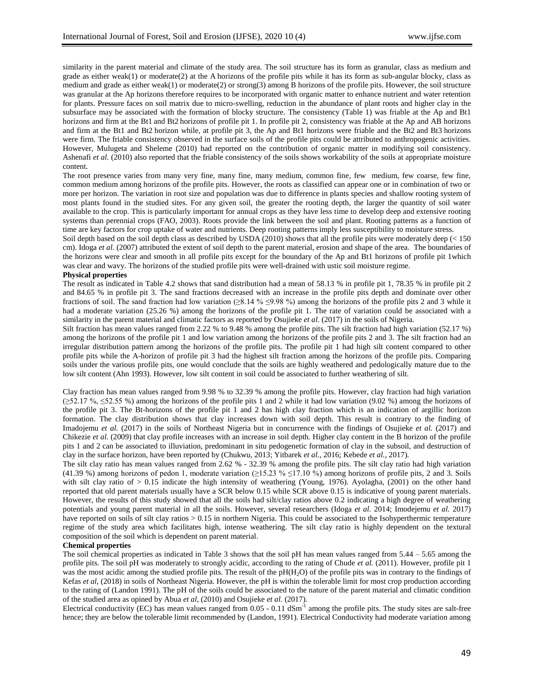similarity in the parent material and climate of the study area. The soil structure has its form as granular, class as medium and grade as either weak(1) or moderate(2) at the A horizons of the profile pits while it has its form as sub-angular blocky, class as medium and grade as either weak(1) or moderate(2) or strong(3) among B horizons of the profile pits. However, the soil structure was granular at the Ap horizons therefore requires to be incorporated with organic matter to enhance nutrient and water retention for plants. Pressure faces on soil matrix due to micro-swelling, reduction in the abundance of plant roots and higher clay in the subsurface may be associated with the formation of blocky structure. The consistency (Table 1) was friable at the Ap and Bt1 horizons and firm at the Bt1 and Bt2 horizons of profile pit 1. In profile pit 2, consistency was friable at the Ap and AB horizons and firm at the Bt1 and Bt2 horizon while, at profile pit 3, the Ap and Bt1 horizons were friable and the Bt2 and Bt3 horizons were firm. The friable consistency observed in the surface soils of the profile pits could be attributed to anthropogenic activities. However, Mulugeta and Sheleme (2010) had reported on the contribution of organic matter in modifying soil consistency. Ashenafi *et al.* (2010) also reported that the friable consistency of the soils shows workability of the soils at appropriate moisture content.

The root presence varies from many very fine, many fine, many medium, common fine, few medium, few coarse, few fine, common medium among horizons of the profile pits. However, the roots as classified can appear one or in combination of two or more per horizon. The variation in root size and population was due to difference in plants species and shallow rooting system of most plants found in the studied sites. For any given soil, the greater the rooting depth, the larger the quantity of soil water available to the crop. This is particularly important for annual crops as they have less time to develop deep and extensive rooting systems than perennial crops (FAO, 2003). Roots provide the link between the soil and plant. Rooting patterns as a function of time are key factors for crop uptake of water and nutrients. Deep rooting patterns imply less susceptibility to moisture stress.

Soil depth based on the soil depth class as described by USDA (2010) shows that all the profile pits were moderately deep (< 150 cm). Idoga *et al.* (2007) attributed the extent of soil depth to the parent material, erosion and shape of the area. The boundaries of the horizons were clear and smooth in all profile pits except for the boundary of the Ap and Bt1 horizons of profile pit 1which was clear and wavy. The horizons of the studied profile pits were well-drained with ustic soil moisture regime.

# **Physical properties**

The result as indicated in Table 4.2 shows that sand distribution had a mean of 58.13 % in profile pit 1, 78.35 % in profile pit 2 and 84.65 % in profile pit 3. The sand fractions decreased with an increase in the profile pits depth and dominate over other fractions of soil. The sand fraction had low variation (≥8.14 % ≤9.98 %) among the horizons of the profile pits 2 and 3 while it had a moderate variation (25.26 %) among the horizons of the profile pit 1. The rate of variation could be associated with a similarity in the parent material and climatic factors as reported by Osujieke *et al*. (2017) in the soils of Nigeria.

Silt fraction has mean values ranged from 2.22 % to 9.48 % among the profile pits. The silt fraction had high variation (52.17 %) among the horizons of the profile pit 1 and low variation among the horizons of the profile pits 2 and 3. The silt fraction had an irregular distribution pattern among the horizons of the profile pits. The profile pit 1 had high silt content compared to other profile pits while the A-horizon of profile pit 3 had the highest silt fraction among the horizons of the profile pits. Comparing soils under the various profile pits, one would conclude that the soils are highly weathered and pedologically mature due to the low silt content (Ahn 1993). However, low silt content in soil could be associated to further weathering of silt.

Clay fraction has mean values ranged from 9.98 % to 32.39 % among the profile pits. However, clay fraction had high variation (≥52.17 %, ≤52.55 %) among the horizons of the profile pits 1 and 2 while it had low variation (9.02 %) among the horizons of the profile pit 3. The Bt-horizons of the profile pit 1 and 2 has high clay fraction which is an indication of argillic horizon formation. The clay distribution shows that clay increases down with soil depth. This result is contrary to the finding of Imadojemu *et al.* (2017) in the soils of Northeast Nigeria but in concurrence with the findings of Osujieke *et al.* (2017) and Chikezie et al. (2009) that clay profile increases with an increase in soil depth. Higher clay content in the B horizon of the profile pits 1 and 2 can be associated to illuviation, predominant in situ pedogenetic formation of clay in the subsoil, and destruction of clay in the surface horizon, have been reported by (Chukwu, 2013; Yitbarek *et al.,* 2016; Kebede *et al.,* 2017).

The silt clay ratio has mean values ranged from 2.62 % - 32.39 % among the profile pits. The silt clay ratio had high variation (41.39 %) among horizons of pedon 1, moderate variation ( $\geq$ 15.23 %  $\leq$ 17.10 %) among horizons of profile pits, 2 and 3. Soils with silt clay ratio of  $> 0.15$  indicate the high intensity of weathering (Young, 1976). Ayolagha, (2001) on the other hand reported that old parent materials usually have a SCR below 0.15 while SCR above 0.15 is indicative of young parent materials. However, the results of this study showed that all the soils had silt/clay ratios above 0.2 indicating a high degree of weathering potentials and young parent material in all the soils. However, several researchers (Idoga *et al.* 2014; Imodejemu *et al.* 2017) have reported on soils of silt clay ratios > 0.15 in northern Nigeria. This could be associated to the Isohyperthermic temperature regime of the study area which facilitates high, intense weathering. The silt clay ratio is highly dependent on the textural composition of the soil which is dependent on parent material.

## **Chemical properties**

The soil chemical properties as indicated in Table 3 shows that the soil pH has mean values ranged from 5.44 – 5.65 among the profile pits. The soil pH was moderately to strongly acidic, according to the rating of Chude *et al.* (2011). However, profile pit 1 was the most acidic among the studied profile pits. The result of the pH(H<sub>2</sub>O) of the profile pits was in contrary to the findings of Kefas *et al*, (2018) in soils of Northeast Nigeria. However, the pH is within the tolerable limit for most crop production according to the rating of (Landon 1991). The pH of the soils could be associated to the nature of the parent material and climatic condition of the studied area as opined by Abua *et al,* (2010) and Osujieke *et al.* (2017).

Electrical conductivity  $(EC)$  has mean values ranged from  $0.05 - 0.11$  dSm<sup>-1</sup> among the profile pits. The study sites are salt-free hence; they are below the tolerable limit recommended by (Landon, 1991). Electrical Conductivity had moderate variation among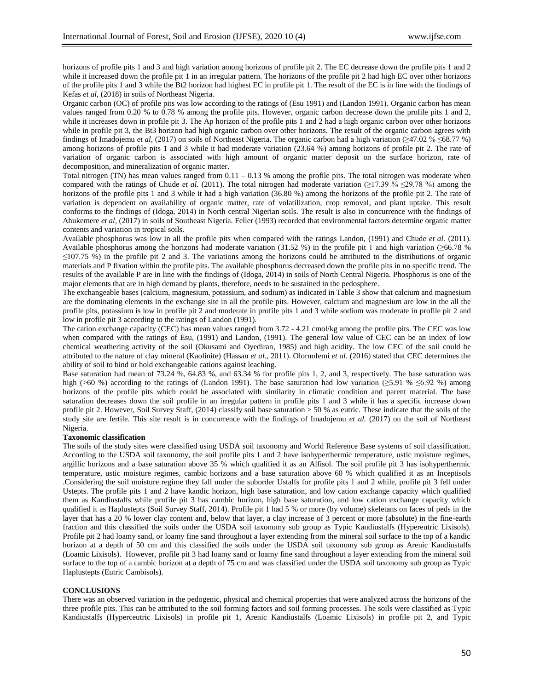horizons of profile pits 1 and 3 and high variation among horizons of profile pit 2. The EC decrease down the profile pits 1 and 2 while it increased down the profile pit 1 in an irregular pattern. The horizons of the profile pit 2 had high EC over other horizons of the profile pits 1 and 3 while the Bt2 horizon had highest EC in profile pit 1. The result of the EC is in line with the findings of Kefas *et al,* (2018) in soils of Northeast Nigeria.

Organic carbon (OC) of profile pits was low according to the ratings of (Esu 1991) and (Landon 1991). Organic carbon has mean values ranged from 0.20 % to 0.78 % among the profile pits. However, organic carbon decrease down the profile pits 1 and 2, while it increases down in profile pit 3. The Ap horizon of the profile pits 1 and 2 had a high organic carbon over other horizons while in profile pit 3, the Bt3 horizon had high organic carbon over other horizons. The result of the organic carbon agrees with findings of Imadojemu *et al,* (2017) on soils of Northeast Nigeria. The organic carbon had a high variation (≥47.02 % ≤68.77 %) among horizons of profile pits 1 and 3 while it had moderate variation (23.64 %) among horizons of profile pit 2. The rate of variation of organic carbon is associated with high amount of organic matter deposit on the surface horizon, rate of decomposition, and mineralization of organic matter.

Total nitrogen (TN) has mean values ranged from 0.11 – 0.13 % among the profile pits. The total nitrogen was moderate when compared with the ratings of Chude *et al.* (2011). The total nitrogen had moderate variation ( $\geq$ 17.39 %  $\leq$ 29.78 %) among the horizons of the profile pits 1 and 3 while it had a high variation (36.80 %) among the horizons of the profile pit 2. The rate of variation is dependent on availability of organic matter, rate of volatilization, crop removal, and plant uptake. This result conforms to the findings of (Idoga, 2014) in North central Nigerian soils. The result is also in concurrence with the findings of Ahukemere *et al*, (2017) in soils of Southeast Nigeria. Feller (1993) recorded that environmental factors determine organic matter contents and variation in tropical soils.

Available phosphorus was low in all the profile pits when compared with the ratings Landon, (1991) and Chude *et al.* (2011). Available phosphorus among the horizons had moderate variation (31.52 %) in the profile pit 1 and high variation ( $\geq 66.78$  %)  $\leq$ 107.75 %) in the profile pit 2 and 3. The variations among the horizons could be attributed to the distributions of organic materials and P fixation within the profile pits. The available phosphorus decreased down the profile pits in no specific trend. The results of the available P are in line with the findings of (Idoga, 2014) in soils of North Central Nigeria. Phosphorus is one of the major elements that are in high demand by plants, therefore, needs to be sustained in the pedosphere.

The exchangeable bases (calcium, magnesium, potassium, and sodium) as indicated in Table 3 show that calcium and magnesium are the dominating elements in the exchange site in all the profile pits. However, calcium and magnesium are low in the all the profile pits, potassium is low in profile pit 2 and moderate in profile pits 1 and 3 while sodium was moderate in profile pit 2 and low in profile pit 3 according to the ratings of Landon (1991).

The cation exchange capacity (CEC) has mean values ranged from 3.72 - 4.21 cmol/kg among the profile pits. The CEC was low when compared with the ratings of Esu, (1991) and Landon, (1991). The general low value of CEC can be an index of low chemical weathering activity of the soil (Okusami and Oyediran, 1985) and high acidity. The low CEC of the soil could be attributed to the nature of clay mineral (Kaolinite) (Hassan *et al.,* 2011). Olorunfemi *et al.* (2016) stated that CEC determines the ability of soil to bind or hold exchangeable cations against leaching.

Base saturation had mean of 73.24 %, 64.83 %, and 63.34 % for profile pits 1, 2, and 3, respectively. The base saturation was high (>60 %) according to the ratings of (Landon 1991). The base saturation had low variation (≥5.91 % ≤6.92 %) among horizons of the profile pits which could be associated with similarity in climatic condition and parent material. The base saturation decreases down the soil profile in an irregular pattern in profile pits 1 and 3 while it has a specific increase down profile pit 2. However, Soil Survey Staff, (2014) classify soil base saturation > 50 % as eutric. These indicate that the soils of the study site are fertile. This site result is in concurrence with the findings of Imadojemu *et al.* (2017) on the soil of Northeast Nigeria.

### **Taxonomic classification**

The soils of the study sites were classified using USDA soil taxonomy and World Reference Base systems of soil classification. According to the USDA soil taxonomy, the soil profile pits 1 and 2 have isohyperthermic temperature, ustic moisture regimes, argillic horizons and a base saturation above 35 % which qualified it as an Alfisol. The soil profile pit 3 has isohyperthermic temperature, ustic moisture regimes, cambic horizons and a base saturation above 60 % which qualified it as an Inceptisols .Considering the soil moisture regime they fall under the suborder Ustalfs for profile pits 1 and 2 while, profile pit 3 fell under Ustepts. The profile pits 1 and 2 have kandic horizon, high base saturation, and low cation exchange capacity which qualified them as Kandiustalfs while profile pit 3 has cambic horizon, high base saturation, and low cation exchange capacity which qualified it as Haplustepts (Soil Survey Staff, 2014). Profile pit 1 had 5 % or more (by volume) skeletans on faces of peds in the layer that has a 20 % lower clay content and, below that layer, a clay increase of 3 percent or more (absolute) in the fine-earth fraction and this classified the soils under the USDA soil taxonomy sub group as Typic Kandiustalfs (Hypereutric Lixisols). Profile pit 2 had loamy sand, or loamy fine sand throughout a layer extending from the mineral soil surface to the top of a kandic horizon at a depth of 50 cm and this classified the soils under the USDA soil taxonomy sub group as Arenic Kandiustalfs (Loamic Lixisols). However, profile pit 3 had loamy sand or loamy fine sand throughout a layer extending from the mineral soil surface to the top of a cambic horizon at a depth of 75 cm and was classified under the USDA soil taxonomy sub group as Typic Haplustepts (Eutric Cambisols).

### **CONCLUSIONS**

There was an observed variation in the pedogenic, physical and chemical properties that were analyzed across the horizons of the three profile pits. This can be attributed to the soil forming factors and soil forming processes. The soils were classified as Typic Kandiustalfs (Hyperceutric Lixisols) in profile pit 1, Arenic Kandiustalfs (Loamic Lixisols) in profile pit 2, and Typic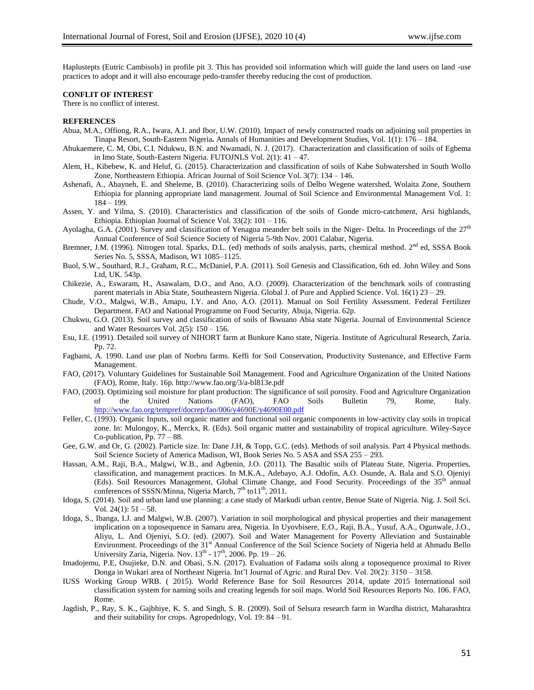Haplustepts (Eutric Cambisols) in profile pit 3. This has provided soil information which will guide the land users on land -use practices to adopt and it will also encourage pedo-transfer thereby reducing the cost of production.

## **CONFLIT OF INTEREST**

There is no conflict of interest.

#### **REFERENCES**

- Abua, M.A., Offiong, R.A., Iwara, A.I. and Ibor, U.W. (2010). Impact of newly constructed roads on adjoining soil properties in Tinapa Resort, South-Eastern Nigeria**.** Annals of Humanities and Development Studies, Vol. 1(1): 176 – 184.
- Ahukaemere, C. M, Obi, C.I. Ndukwu, B.N. and Nwamadi, N. J. (2017). Characterization and classification of soils of Egbema in Imo State, South-Eastern Nigeria. FUTOJNLS Vol. 2(1): 41 – 47.
- Alem, H., Kibebew, K. and Heluf, G. (2015). Characterization and classification of soils of Kabe Subwatershed in South Wollo Zone, Northeastern Ethiopia. African Journal of Soil Science Vol. 3(7): 134 – 146.
- Ashenafi, A., Abayneh, E. and Sheleme, B. (2010). Characterizing soils of Delbo Wegene watershed, Wolaita Zone, Southern Ethiopia for planning appropriate land management. Journal of Soil Science and Environmental Management Vol. 1: 184 – 199.
- Assen, Y. and Yilma, S. (2010). Characteristics and classification of the soils of Gonde micro-catchment, Arsi highlands, Ethiopia. Ethiopian Journal of Science Vol. 33(2): 101 – 116.
- Ayolagha, G.A. (2001). Survey and classification of Yenagoa meander belt soils in the Niger- Delta. In Proceedings of the  $27<sup>th</sup>$ Annual Conference of Soil Science Society of Nigeria 5-9th Nov. 2001 Calabar, Nigeria.
- Bremner, J.M. (1996). Nitrogen total. Sparks, D.L. (ed) methods of soils analysis, parts, chemical method. 2<sup>nd</sup> ed, SSSA Book Series No. 5, SSSA, Madison, W1 1085–1125.
- Buol, S.W., Southard, R.J., Graham, R.C., McDaniel, P.A. (2011). Soil Genesis and Classification, 6th ed. John Wiley and Sons Ltd, UK. 543p.
- Chikezie, A., Eswaram, H., Asawalam, D.O., and Ano, A.O. (2009). Characterization of the benchmark soils of contrasting parent materials in Abia State, Southeastern Nigeria. Global J. of Pure and Applied Science. Vol. 16(1) 23 – 29.
- Chude, V.O., Malgwi, W.B., Amapu, I.Y. and Ano, A.O. (2011). Manual on Soil Fertility Assessment. Federal Fertilizer Department. FAO and National Programme on Food Security, Abuja, Nigeria. 62p.
- Chukwu, G.O. (2013). Soil survey and classification of soils of Ikwuano Abia state Nigeria. Journal of Environmental Science and Water Resources Vol. 2(5): 150 – 156.
- Esu, I.E. (1991). Detailed soil survey of NIHORT farm at Bunkure Kano state, Nigeria. Institute of Agricultural Research, Zaria. Pp. 72.
- Fagbami, A. 1990. Land use plan of Norbru farms. Keffi for Soil Conservation, Productivity Sustenance, and Effective Farm Management.
- FAO, (2017). Voluntary Guidelines for Sustainable Soil Management. Food and Agriculture Organization of the United Nations (FAO), Rome, Italy. 16p. http://www.fao.org/3/a-bl813e.pdf
- FAO, (2003). Optimizing soil moisture for plant production: The significance of soil porosity. Food and Agriculture Organization of the United Nations (FAO), FAO Soils Bulletin 79, Rome, Italy. of the United Nations (FAO), FAO Soils Bulletin 79, Rome, Italy. <http://www.fao.org/tempref/docrep/fao/006/y4690E/y4690E00.pdf>
- Feller, C. (1993). Organic Inputs, soil organic matter and functional soil organic components in low-activity clay soils in tropical zone. In: Mulongoy, K., Merckx, R. (Eds). Soil organic matter and sustainability of tropical agriculture. Wiley-Sayce Co-publication, Pp. 77 – 88.
- Gee, G.W. and Or, G. (2002). Particle size. In: Dane J.H, & Topp, G.C. (eds). Methods of soil analysis. Part 4 Physical methods. Soil Science Society of America Madison, WI, Book Series No. 5 ASA and SSA 255 – 293.
- Hassan, A.M., Raji, B.A., Malgwi, W.B., and Agbenin, J.O. (2011). The Basaltic soils of Plateau State, Nigeria. Properties, classification, and management practices. In M.K.A., Adebayo, A.J. Odofin, A.O. Osunde, A. Bala and S.O. Ojeniyi (Eds). Soil Resources Management, Global Climate Change, and Food Security. Proceedings of the 35th annual conferences of SSSN/Minna, Nigeria March, 7<sup>th</sup> to11<sup>th</sup>, 2011.
- Idoga, S. (2014). Soil and urban land use planning: a case study of Markudi urban centre, Benue State of Nigeria. Nig. J. Soil Sci. Vol.  $24(1)$ :  $51 - 58$ .
- Idoga, S., Ibanga, I.J. and Malgwi, W.B. (2007). Variation in soil morphological and physical properties and their management implication on a toposequence in Samaru area, Nigeria. In Uyovbisere, E.O., Raji, B.A., Yusuf, A.A., Ogunwale, J.O., Aliyu, L. And Ojeniyi, S.O. (ed). (2007). Soil and Water Management for Poverty Alleviation and Sustainable Environment. Proceedings of the 31<sup>st</sup> Annual Conference of the Soil Science Society of Nigeria held at Ahmadu Bello University Zaria, Nigeria. Nov.  $13<sup>th</sup>$  -  $17<sup>th</sup>$ , 2006. Pp. 19 - 26.
- Imadojemu, P.E, Osujieke, D.N. and Obasi, S.N. (2017). Evaluation of Fadama soils along a toposequence proximal to River Donga in Wukari area of Northeast Nigeria. Int'l Journal of Agric. and Rural Dev. Vol. 20(2): 3150 – 3158.
- IUSS Working Group WRB. ( 2015). World Reference Base for Soil Resources 2014, update 2015 International soil classification system for naming soils and creating legends for soil maps. World Soil Resources Reports No. 106. FAO, Rome.
- Jagdish, P., Ray, S. K., Gajbhiye, K. S. and Singh, S. R. (2009). Soil of Selsura research farm in Wardha district, Maharashtra and their suitability for crops. Agropedology, Vol. 19: 84 – 91.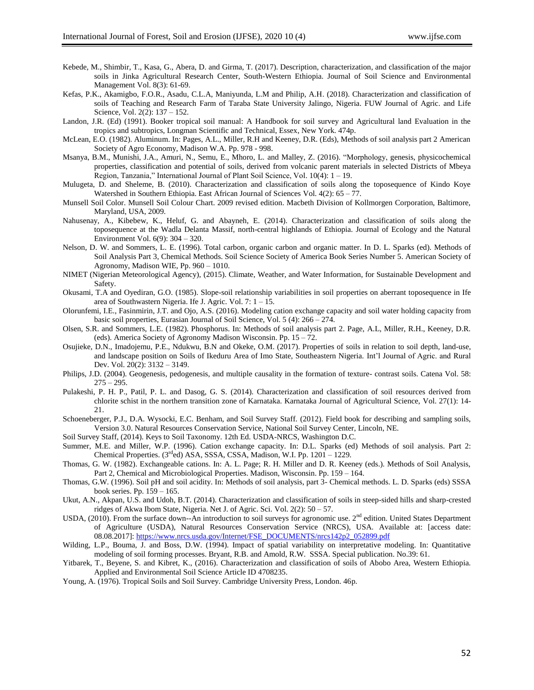- Kebede, M., Shimbir, T., Kasa, G., Abera, D. and Girma, T. (2017). Description, characterization, and classification of the major soils in Jinka Agricultural Research Center, South-Western Ethiopia. Journal of Soil Science and Environmental Management Vol. 8(3): 61-69.
- Kefas, P.K., Akamigbo, F.O.R., Asadu, C.L.A, Maniyunda, L.M and Philip, A.H. (2018). Characterization and classification of soils of Teaching and Research Farm of Taraba State University Jalingo, Nigeria. FUW Journal of Agric. and Life Science, Vol. 2(2): 137 – 152.
- Landon, J.R. (Ed) (1991). Booker tropical soil manual: A Handbook for soil survey and Agricultural land Evaluation in the tropics and subtropics, Longman Scientific and Technical, Essex, New York. 474p.
- McLean, E.O. (1982). Aluminum. In: Pages, A.L., Miller, R.H and Keeney, D.R. (Eds), Methods of soil analysis part 2 American Society of Agro Economy, Madison W.A. Pp. 978 - 998.
- Msanya, B.M., Munishi, J.A., Amuri, N., Semu, E., Mhoro, L. and Malley, Z. (2016). "Morphology, genesis, physicochemical properties, classification and potential of soils, derived from volcanic parent materials in selected Districts of Mbeya Region, Tanzania," International Journal of Plant Soil Science, Vol. 10(4): 1 – 19.
- Mulugeta, D. and Sheleme, B. (2010). Characterization and classification of soils along the toposequence of Kindo Koye Watershed in Southern Ethiopia. East African Journal of Sciences Vol. 4(2): 65 – 77.
- Munsell Soil Color. Munsell Soil Colour Chart. 2009 revised edition. Macbeth Division of Kollmorgen Corporation, Baltimore, Maryland, USA, 2009.
- Nahusenay, A., Kibebew, K., Heluf, G. and Abayneh, E. (2014). Characterization and classification of soils along the toposequence at the Wadla Delanta Massif, north-central highlands of Ethiopia. Journal of Ecology and the Natural Environment Vol. 6(9): 304 – 320.
- Nelson, D. W. and Sommers, L. E. (1996). Total carbon, organic carbon and organic matter. In D. L. Sparks (ed). Methods of Soil Analysis Part 3, Chemical Methods. Soil Science Society of America Book Series Number 5. American Society of Agronomy, Madison WIE, Pp. 960 – 1010.
- NIMET (Nigerian Meteorological Agency), (2015). Climate, Weather, and Water Information, for Sustainable Development and Safety.
- Okusami, T.A and Oyediran, G.O. (1985). Slope-soil relationship variabilities in soil properties on aberrant toposequence in Ife area of Southwastern Nigeria. Ife J. Agric. Vol. 7: 1 – 15.
- Olorunfemi, I.E., Fasinmirin, J.T. and Ojo, A.S. (2016). Modeling cation exchange capacity and soil water holding capacity from basic soil properties, Eurasian Journal of Soil Science, Vol. 5 (4): 266 – 274.
- Olsen, S.R. and Sommers, L.E. (1982). Phosphorus. In: Methods of soil analysis part 2. Page, A.L, Miller, R.H., Keeney, D.R. (eds). America Society of Agronomy Madison Wisconsin. Pp. 15 – 72.
- Osujieke, D.N., Imadojemu, P.E., Ndukwu, B.N and Okeke, O.M. (2017). Properties of soils in relation to soil depth, land-use, and landscape position on Soils of Ikeduru Area of Imo State, Southeastern Nigeria. Int'l Journal of Agric. and Rural Dev. Vol. 20(2): 3132 – 3149.
- Philips, J.D. (2004). Geogenesis, pedogenesis, and multiple causality in the formation of texture- contrast soils. Catena Vol. 58:  $275 - 295.$
- Pulakeshi, P. H. P., Patil, P. L. and Dasog, G. S. (2014). Characterization and classification of soil resources derived from chlorite schist in the northern transition zone of Karnataka. Karnataka Journal of Agricultural Science, Vol. 27(1): 14- 21.
- Schoeneberger, P.J., D.A. Wysocki, E.C. Benham, and Soil Survey Staff. (2012). Field book for describing and sampling soils, Version 3.0. Natural Resources Conservation Service, National Soil Survey Center, Lincoln, NE.
- Soil Survey Staff, (2014). Keys to Soil Taxonomy. 12th Ed. USDA-NRCS, Washington D.C.
- Summer, M.E. and Miller, W.P. (1996). Cation exchange capacity. In: D.L. Sparks (ed) Methods of soil analysis. Part 2: Chemical Properties. (3<sup>rd</sup>ed) ASA, SSSA, CSSA, Madison, W.I. Pp. 1201 – 1229.
- Thomas, G. W. (1982). Exchangeable cations. In: A. L. Page; R. H. Miller and D. R. Keeney (eds.). Methods of Soil Analysis, Part 2, Chemical and Microbiological Properties. Madison, Wisconsin. Pp. 159 – 164.
- Thomas, G.W. (1996). Soil pH and soil acidity. In: Methods of soil analysis, part 3- Chemical methods. L. D. Sparks (eds) SSSA book series. Pp. 159 – 165.
- Ukut, A.N., Akpan, U.S. and Udoh, B.T. (2014). Characterization and classification of soils in steep-sided hills and sharp-crested ridges of Akwa Ibom State, Nigeria. Net J. of Agric. Sci. Vol. 2(2): 50 – 57.
- USDA, (2010). From the surface down--An introduction to soil surveys for agronomic use.  $2<sup>nd</sup>$  edition. United States Department of Agriculture (USDA), Natural Resources Conservation Service (NRCS), USA. Available at: [access date: 08.08.2017][: https://www.nrcs.usda.gov/Internet/FSE\\_DOCUMENTS/nrcs142p2\\_052899.pdf](https://www.nrcs.usda.gov/Internet/FSE_DOCUMENTS/nrcs142p2_052899.pdf)
- Wilding, L.P., Bouma, J. and Boss, D.W. (1994). Impact of spatial variability on interpretative modeling. In: Quantitative modeling of soil forming processes. Bryant, R.B. and Amold, R.W. SSSA. Special publication. No.39: 61.
- Yitbarek, T., Beyene, S. and Kibret, K., (2016). Characterization and classification of soils of Abobo Area, Western Ethiopia. Applied and Environmental Soil Science Article ID 4708235.
- Young, A. (1976). Tropical Soils and Soil Survey. Cambridge University Press, London. 46p.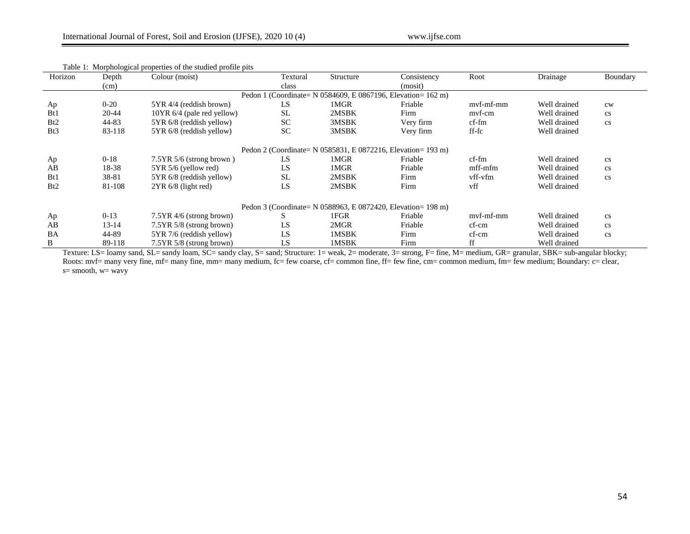| Horizon                                                        | Depth     | Colour (moist)             | Textural  | Structure<br>Consistency |           | Root                   | Drainage     | Boundary               |  |  |  |  |
|----------------------------------------------------------------|-----------|----------------------------|-----------|--------------------------|-----------|------------------------|--------------|------------------------|--|--|--|--|
|                                                                | (cm)      |                            | class     |                          | (mosit)   |                        |              |                        |  |  |  |  |
| Pedon 1 (Coordinate = N 0584609, E 0867196, Elevation = 162 m) |           |                            |           |                          |           |                        |              |                        |  |  |  |  |
| Ap                                                             | $0 - 20$  | 5YR 4/4 (reddish brown)    | LS        | 1MGR                     | Friable   | mvf-mf-mm              | Well drained | cw                     |  |  |  |  |
| B <sub>t1</sub>                                                | 20-44     | 10YR 6/4 (pale red yellow) | <b>SL</b> | 2MSBK                    | Firm      | mvf-cm                 | Well drained | $\mathbf{c}\mathbf{s}$ |  |  |  |  |
| Bt2                                                            | 44-83     | 5YR 6/8 (reddish yellow)   | <b>SC</b> | 3MSBK                    | Very firm | $cf$ -fm               | Well drained | $\mathbf{c}\mathbf{s}$ |  |  |  |  |
| Bt3                                                            | 83-118    | 5YR 6/8 (reddish yellow)   | <b>SC</b> | 3MSBK                    | Very firm | $\operatorname{ff-fc}$ | Well drained |                        |  |  |  |  |
| Pedon 2 (Coordinate = N 0585831, E 0872216, Elevation = 193 m) |           |                            |           |                          |           |                        |              |                        |  |  |  |  |
| Ap                                                             | $0-18$    | $7.5YR$ 5/6 (strong brown) | LS        | 1MGR                     | Friable   | $cf$ -fm               | Well drained | $\mathbf{c}\mathbf{s}$ |  |  |  |  |
| AB                                                             | 18-38     | 5YR 5/6 (yellow red)       | LS        | 1MGR                     | Friable   | mff-mfm                | Well drained | $\mathbf{c}\mathbf{s}$ |  |  |  |  |
| B <sub>t1</sub>                                                | 38-81     | 5YR 6/8 (reddish yellow)   | <b>SL</b> | 2MSBK                    | Firm      | vff-vfm                | Well drained | $\mathbf{c}\mathbf{s}$ |  |  |  |  |
| Bt2                                                            | 81-108    | $2YR_6/8$ (light red)      | LS        | 2MSBK                    | Firm      | vff                    | Well drained |                        |  |  |  |  |
| Pedon 3 (Coordinate = N 0588963, E 0872420, Elevation = 198 m) |           |                            |           |                          |           |                        |              |                        |  |  |  |  |
| Ap                                                             | $0-13$    | $7.5YR$ 4/6 (strong brown) | S         | 1FGR                     | Friable   | mvf-mf-mm              | Well drained | $\mathbf{c}\mathbf{s}$ |  |  |  |  |
| AB                                                             | $13 - 14$ | 7.5YR 5/8 (strong brown)   | LS        | 2MGR                     | Friable   | cf-cm                  | Well drained | $\mathbf{c}\mathbf{s}$ |  |  |  |  |
| BA                                                             | 44-89     | 5YR 7/6 (reddish yellow)   | LS        | 1MSBK                    | Firm      | cf-cm                  | Well drained | $\mathbf{c}\mathbf{s}$ |  |  |  |  |
| B                                                              | 89-118    | 7.5YR 5/8 (strong brown)   | LS        | 1MSBK                    | Firm      | ff                     | Well drained |                        |  |  |  |  |

### Table 1: Morphological properties of the studied profile pits

Texture: LS= loamy sand, SL= sandy loam, SC= sandy clay, S= sand; Structure: 1= weak, 2= moderate, 3= strong, F= fine, M= medium, GR= granular, SBK= sub-angular blocky; Roots: mvf= many very fine, mf= many fine, mm= many medium, fc= few coarse, cf= common fine, ff= few fine, cm= common medium, fm= few medium; Boundary: c= clear,  $s=$  smooth,  $w=$  wavy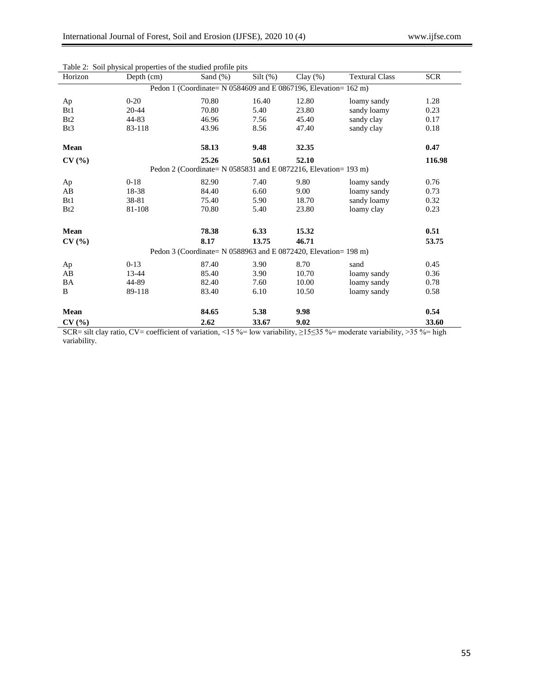| Horizon                                                         | Depth (cm) | Sand $(\%)$ | $Silt$ (%) | $Clay(\%)$ | <b>Textural Class</b> | <b>SCR</b> |  |  |  |  |  |
|-----------------------------------------------------------------|------------|-------------|------------|------------|-----------------------|------------|--|--|--|--|--|
| Pedon 1 (Coordinate= N 0584609 and E 0867196, Elevation= 162 m) |            |             |            |            |                       |            |  |  |  |  |  |
| Ap                                                              | $0-20$     | 70.80       | 16.40      | 12.80      | loamy sandy           | 1.28       |  |  |  |  |  |
| B <sub>t1</sub>                                                 | 20-44      | 70.80       | 5.40       | 23.80      | sandy loamy           | 0.23       |  |  |  |  |  |
| B <sub>t2</sub>                                                 | 44-83      | 46.96       | 7.56       | 45.40      | sandy clay            | 0.17       |  |  |  |  |  |
| Bt <sub>3</sub>                                                 | 83-118     | 43.96       | 8.56       | 47.40      | sandy clay            | 0.18       |  |  |  |  |  |
| Mean                                                            |            | 58.13       | 9.48       | 32.35      |                       | 0.47       |  |  |  |  |  |
| CV(%)                                                           |            | 25.26       | 50.61      | 52.10      |                       | 116.98     |  |  |  |  |  |
| Pedon 2 (Coordinate= N 0585831 and E 0872216, Elevation= 193 m) |            |             |            |            |                       |            |  |  |  |  |  |
| Ap                                                              | $0 - 18$   | 82.90       | 7.40       | 9.80       | loamy sandy           | 0.76       |  |  |  |  |  |
| AB                                                              | 18-38      | 84.40       | 6.60       | 9.00       | loamy sandy           | 0.73       |  |  |  |  |  |
| B <sub>t1</sub>                                                 | 38-81      | 75.40       | 5.90       | 18.70      | sandy loamy           | 0.32       |  |  |  |  |  |
| Bt2                                                             | 81-108     | 70.80       | 5.40       | 23.80      | loamy clay            | 0.23       |  |  |  |  |  |
| Mean                                                            |            | 78.38       | 6.33       | 15.32      |                       | 0.51       |  |  |  |  |  |
| CV(%)                                                           |            | 8.17        | 13.75      | 46.71      |                       | 53.75      |  |  |  |  |  |
| Pedon 3 (Coordinate= N 0588963 and E 0872420, Elevation= 198 m) |            |             |            |            |                       |            |  |  |  |  |  |
| Ap                                                              | $0-13$     | 87.40       | 3.90       | 8.70       | sand                  | 0.45       |  |  |  |  |  |
| AB                                                              | 13-44      | 85.40       | 3.90       | 10.70      | loamy sandy           | 0.36       |  |  |  |  |  |
| BA                                                              | 44-89      | 82.40       | 7.60       | 10.00      | loamy sandy           | 0.78       |  |  |  |  |  |
| B                                                               | 89-118     | 83.40       | 6.10       | 10.50      | loamy sandy           | 0.58       |  |  |  |  |  |
| Mean                                                            |            | 84.65       | 5.38       | 9.98       |                       | 0.54       |  |  |  |  |  |
|                                                                 |            |             |            |            |                       |            |  |  |  |  |  |
| CV(%)                                                           |            | 2.62        | 33.67      | 9.02       |                       | 33.60      |  |  |  |  |  |

Table 2: Soil physical properties of the studied profile pits

SCR= silt clay ratio, CV= coefficient of variation, <15 %= low variability,  $\geq$ 15≤35 %= moderate variability, >35 %= high variability.